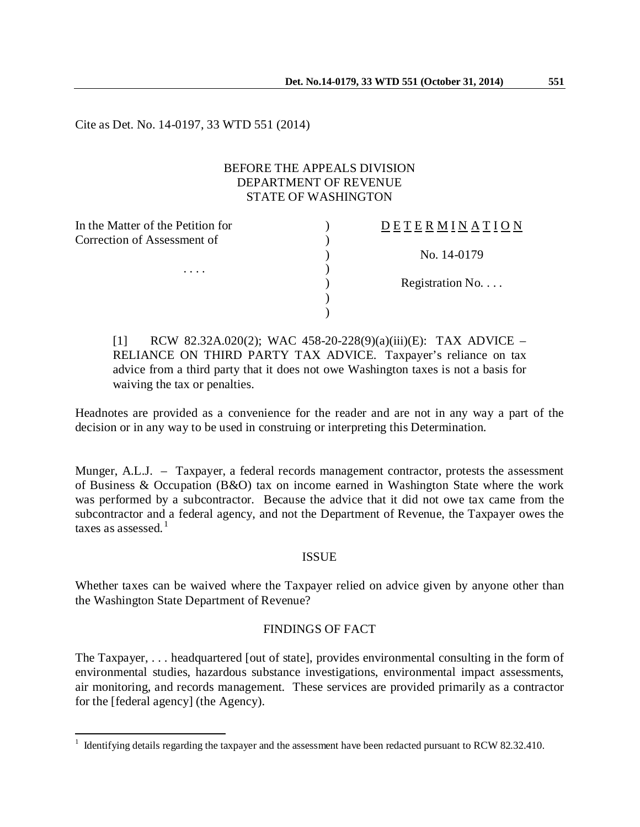Cite as Det. No. 14-0197, 33 WTD 551 (2014)

### BEFORE THE APPEALS DIVISION DEPARTMENT OF REVENUE STATE OF WASHINGTON

| <b>DETERMINATION</b>     |
|--------------------------|
|                          |
| No. 14-0179              |
|                          |
| Registration No. $\dots$ |
|                          |
|                          |
|                          |

[1] RCW 82.32A.020(2); WAC 458-20-228(9)(a)(iii)(E): TAX ADVICE – RELIANCE ON THIRD PARTY TAX ADVICE. Taxpayer's reliance on tax advice from a third party that it does not owe Washington taxes is not a basis for waiving the tax or penalties.

Headnotes are provided as a convenience for the reader and are not in any way a part of the decision or in any way to be used in construing or interpreting this Determination.

Munger, A.L.J. – Taxpayer, a federal records management contractor, protests the assessment of Business & Occupation (B&O) tax on income earned in Washington State where the work was performed by a subcontractor. Because the advice that it did not owe tax came from the subcontractor and a federal agency, and not the Department of Revenue, the Taxpayer owes the taxes as assessed. $<sup>1</sup>$  $<sup>1</sup>$  $<sup>1</sup>$ </sup>

#### ISSUE

Whether taxes can be waived where the Taxpayer relied on advice given by anyone other than the Washington State Department of Revenue?

# FINDINGS OF FACT

The Taxpayer, . . . headquartered [out of state], provides environmental consulting in the form of environmental studies, hazardous substance investigations, environmental impact assessments, air monitoring, and records management. These services are provided primarily as a contractor for the [federal agency] (the Agency).

<span id="page-0-0"></span> $1$  Identifying details regarding the taxpayer and the assessment have been redacted pursuant to RCW 82.32.410.  $\overline{a}$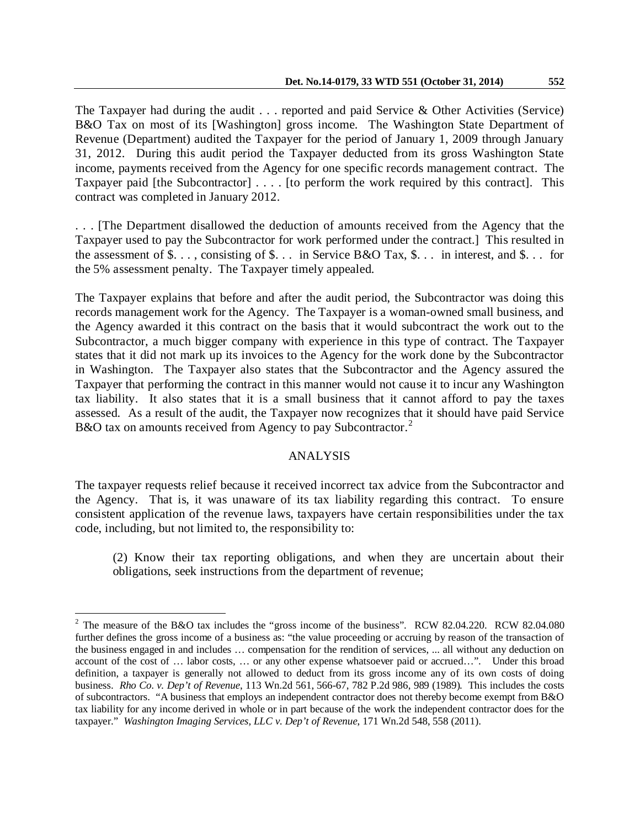The Taxpayer had during the audit  $\ldots$  reported and paid Service & Other Activities (Service) B&O Tax on most of its [Washington] gross income. The Washington State Department of Revenue (Department) audited the Taxpayer for the period of January 1, 2009 through January 31, 2012. During this audit period the Taxpayer deducted from its gross Washington State income, payments received from the Agency for one specific records management contract. The Taxpayer paid [the Subcontractor] . . . . [to perform the work required by this contract]. This contract was completed in January 2012.

. . . [The Department disallowed the deduction of amounts received from the Agency that the Taxpayer used to pay the Subcontractor for work performed under the contract.] This resulted in the assessment of  $\$\dots$ , consisting of  $\$\dots$  in Service B&O Tax,  $\$\dots$  in interest, and  $\$\dots$  for the 5% assessment penalty. The Taxpayer timely appealed.

The Taxpayer explains that before and after the audit period, the Subcontractor was doing this records management work for the Agency. The Taxpayer is a woman-owned small business, and the Agency awarded it this contract on the basis that it would subcontract the work out to the Subcontractor, a much bigger company with experience in this type of contract. The Taxpayer states that it did not mark up its invoices to the Agency for the work done by the Subcontractor in Washington. The Taxpayer also states that the Subcontractor and the Agency assured the Taxpayer that performing the contract in this manner would not cause it to incur any Washington tax liability. It also states that it is a small business that it cannot afford to pay the taxes assessed. As a result of the audit, the Taxpayer now recognizes that it should have paid Service B&O tax on amounts received from Agency to pay Subcontractor.<sup>[2](#page-1-0)</sup>

#### ANALYSIS

The taxpayer requests relief because it received incorrect tax advice from the Subcontractor and the Agency. That is, it was unaware of its tax liability regarding this contract. To ensure consistent application of the revenue laws, taxpayers have certain responsibilities under the tax code, including, but not limited to, the responsibility to:

(2) Know their tax reporting obligations, and when they are uncertain about their obligations, seek instructions from the department of revenue;

 $\overline{a}$ 

<span id="page-1-0"></span><sup>&</sup>lt;sup>2</sup> The measure of the B&O tax includes the "gross income of the business". RCW 82.04.220. RCW 82.04.080 further defines the gross income of a business as: "the value proceeding or accruing by reason of the transaction of the business engaged in and includes … compensation for the rendition of services, ... all without any deduction on account of the cost of … labor costs, … or any other expense whatsoever paid or accrued…". Under this broad definition, a taxpayer is generally not allowed to deduct from its gross income any of its own costs of doing business. *Rho Co. v. Dep't of Revenue*, 113 Wn.2d 561, 566-67, 782 P.2d 986, 989 (1989). This includes the costs of subcontractors. "A business that employs an independent contractor does not thereby become exempt from B&O tax liability for any income derived in whole or in part because of the work the independent contractor does for the taxpayer." *Washington Imaging Services, LLC v. Dep't of Revenue*, 171 Wn.2d 548, 558 (2011).